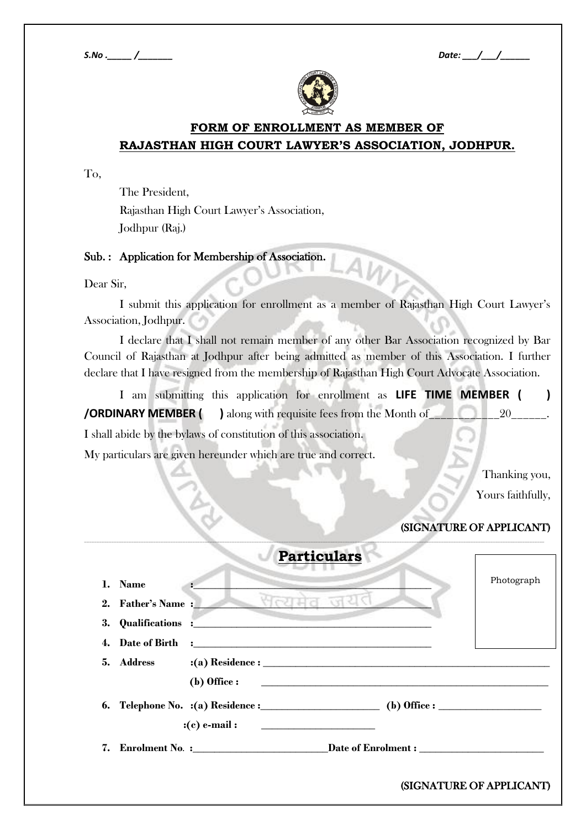

## **FORM OF ENROLLMENT AS MEMBER OF RAJASTHAN HIGH COURT LAWYER'S ASSOCIATION, JODHPUR.**

To,

The President, Rajasthan High Court Lawyer's Association, Jodhpur (Raj.)

Sub. : Application for Membership of Association.

Dear Sir,

I submit this application for enrollment as a member of Rajasthan High Court Lawyer's Association, Jodhpur.

I declare that I shall not remain member of any other Bar Association recognized by Bar Council of Rajasthan at Jodhpur after being admitted as member of this Association. I further declare that I have resigned from the membership of Rajasthan High Court Advocate Association.

I am submitting this application for enrollment as **LIFE TIME MEMBER ( ) /ORDINARY MEMBER ( )** along with requisite fees from the Month of\_\_\_\_\_\_\_\_\_\_\_\_20\_\_\_\_\_\_. I shall abide by the bylaws of constitution of this association.

\_\_\_\_\_\_\_\_\_\_\_\_\_\_\_\_\_\_\_\_\_\_\_\_\_\_\_\_\_\_\_\_\_\_\_\_\_\_\_\_\_\_\_\_\_\_\_\_\_\_\_\_\_\_\_\_\_\_\_\_\_\_\_\_\_\_\_\_\_\_\_\_\_\_\_\_\_\_\_\_\_\_\_\_\_\_\_\_\_\_\_\_\_\_\_\_\_\_\_\_\_\_\_\_\_\_\_\_\_\_\_\_\_\_\_\_\_\_\_\_\_\_\_\_\_\_\_\_\_\_\_\_\_\_\_\_\_\_\_\_\_\_\_\_\_\_\_\_\_\_\_\_\_\_\_\_\_\_\_\_\_\_\_\_\_\_\_\_\_\_\_\_\_\_\_\_\_\_\_\_\_\_\_\_\_\_\_

My particulars are given hereunder which are true and correct.

Thanking you, Yours faithfully,

## (SIGNATURE OF APPLICANT)

|    |                   | <b>Particulars</b>                                                                |                          |
|----|-------------------|-----------------------------------------------------------------------------------|--------------------------|
|    | 1. Name           |                                                                                   | Photograph               |
|    | 2. Father's Name: | — भल्यमेव जयत                                                                     |                          |
|    |                   |                                                                                   |                          |
|    |                   |                                                                                   |                          |
|    |                   |                                                                                   |                          |
|    |                   | (b) Office : $\qquad \qquad$                                                      |                          |
|    |                   |                                                                                   |                          |
|    |                   |                                                                                   |                          |
| 7. |                   | Enrolment No. :____________________________Date of Enrolment : __________________ |                          |
|    |                   |                                                                                   | (SIGNATURE OF APPLICANT) |